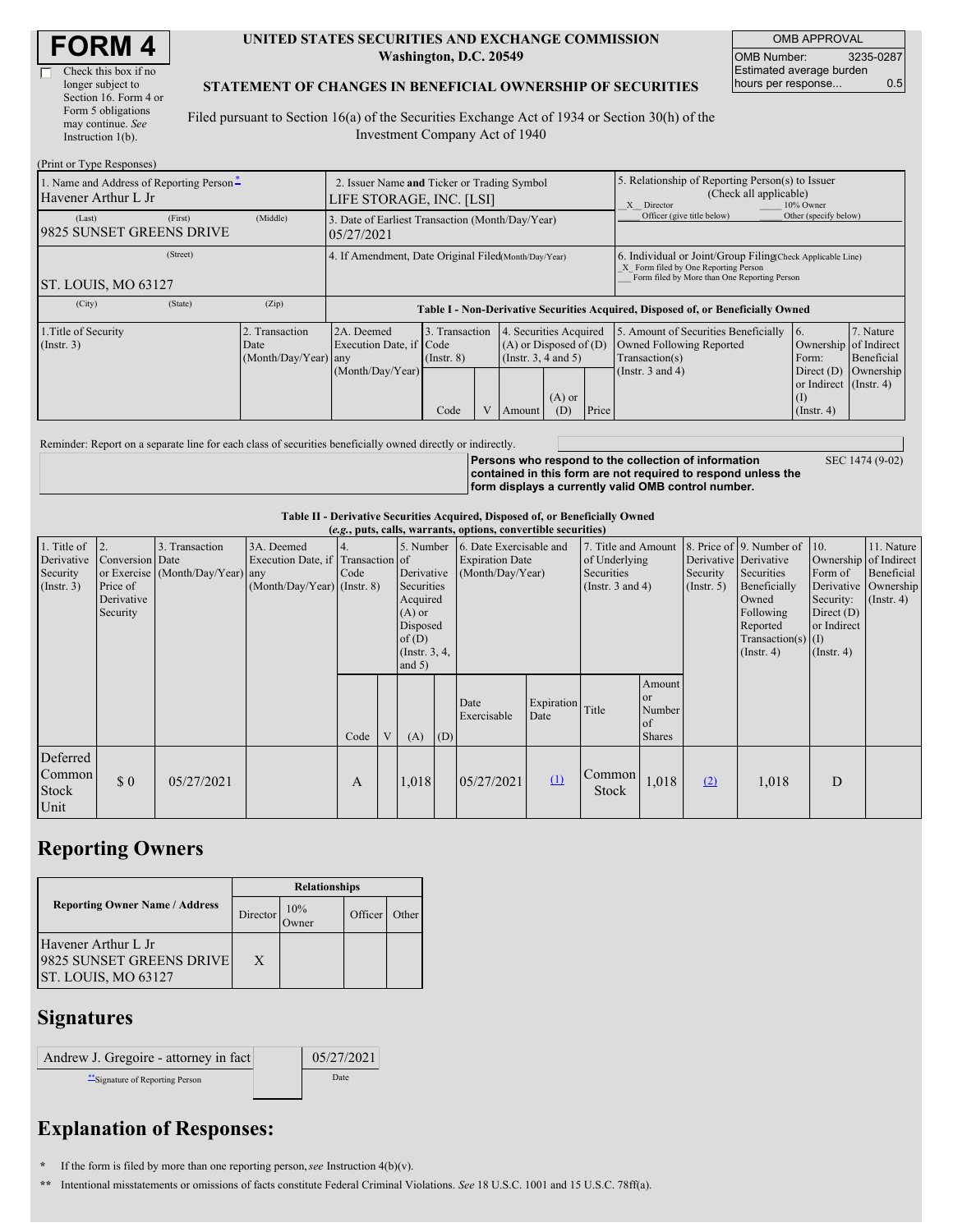| <b>FORM 4</b> |
|---------------|
|---------------|

г

#### **UNITED STATES SECURITIES AND EXCHANGE COMMISSION Washington, D.C. 20549**

OMB APPROVAL OMB Number: 3235-0287 Estimated average burden hours per response... 0.5

#### **STATEMENT OF CHANGES IN BENEFICIAL OWNERSHIP OF SECURITIES**

Filed pursuant to Section 16(a) of the Securities Exchange Act of 1934 or Section 30(h) of the Investment Company Act of 1940

| (Print or Type Responses)                                                               |                                                                         |                                                                                  |                                   |  |                                                                                  |                 |                                                                                                       |                                                                                                                                                    |                                                      |                                      |  |  |
|-----------------------------------------------------------------------------------------|-------------------------------------------------------------------------|----------------------------------------------------------------------------------|-----------------------------------|--|----------------------------------------------------------------------------------|-----------------|-------------------------------------------------------------------------------------------------------|----------------------------------------------------------------------------------------------------------------------------------------------------|------------------------------------------------------|--------------------------------------|--|--|
| 1. Name and Address of Reporting Person-<br>Havener Arthur L Jr                         | 2. Issuer Name and Ticker or Trading Symbol<br>LIFE STORAGE, INC. [LSI] |                                                                                  |                                   |  |                                                                                  |                 | 5. Relationship of Reporting Person(s) to Issuer<br>(Check all applicable)<br>X Director<br>10% Owner |                                                                                                                                                    |                                                      |                                      |  |  |
| (First)<br>(Last)<br>19825 SUNSET GREENS DRIVE                                          | (Middle)                                                                | 3. Date of Earliest Transaction (Month/Day/Year)<br>05/27/2021                   |                                   |  |                                                                                  |                 | Officer (give title below)                                                                            | Other (specify below)                                                                                                                              |                                                      |                                      |  |  |
| (Street)<br>4. If Amendment, Date Original Filed Month/Day/Year)<br>ST. LOUIS, MO 63127 |                                                                         |                                                                                  |                                   |  |                                                                                  |                 |                                                                                                       | 6. Individual or Joint/Group Filing Check Applicable Line)<br>X Form filed by One Reporting Person<br>Form filed by More than One Reporting Person |                                                      |                                      |  |  |
| (State)<br>(City)                                                                       | (Zip)                                                                   | Table I - Non-Derivative Securities Acquired, Disposed of, or Beneficially Owned |                                   |  |                                                                                  |                 |                                                                                                       |                                                                                                                                                    |                                                      |                                      |  |  |
| 1. Title of Security<br>(Insert. 3)                                                     | Transaction<br>Date<br>(Month/Day/Year) any                             | 2A. Deemed<br>Execution Date, if Code<br>(Month/Day/Year)                        | 3. Transaction<br>$($ Instr. $8)$ |  | 4. Securities Acquired<br>$(A)$ or Disposed of $(D)$<br>(Instr. $3, 4$ and $5$ ) |                 |                                                                                                       | 5. Amount of Securities Beneficially<br>Owned Following Reported<br>Transaction(s)<br>(Instr. 3 and 4)                                             | 6.<br>Ownership of Indirect<br>Form:<br>Direct $(D)$ | 7. Nature<br>Beneficial<br>Ownership |  |  |
|                                                                                         |                                                                         |                                                                                  | Code                              |  | Amount                                                                           | $(A)$ or<br>(D) | Price                                                                                                 |                                                                                                                                                    | or Indirect (Instr. 4)<br>(I)<br>$($ Instr. 4 $)$    |                                      |  |  |

Reminder: Report on a separate line for each class of securities beneficially owned directly or indirectly.

**Persons who respond to the collection of information contained in this form are not required to respond unless the form displays a currently valid OMB control number.** SEC 1474 (9-02)

**Table II - Derivative Securities Acquired, Disposed of, or Beneficially Owned**

| (e.g., puts, calls, warrants, options, convertible securities) |                                                       |                                                    |                                                                                |      |  |                                                                                                                   |     |                                                                       |                    |                                                                             |                                                      |                           |                                                                                                                                                               |                                                                                                         |                                                                        |
|----------------------------------------------------------------|-------------------------------------------------------|----------------------------------------------------|--------------------------------------------------------------------------------|------|--|-------------------------------------------------------------------------------------------------------------------|-----|-----------------------------------------------------------------------|--------------------|-----------------------------------------------------------------------------|------------------------------------------------------|---------------------------|---------------------------------------------------------------------------------------------------------------------------------------------------------------|---------------------------------------------------------------------------------------------------------|------------------------------------------------------------------------|
| 1. Title of<br>Derivative<br>Security<br>$($ Instr. 3 $)$      | Conversion Date<br>Price of<br>Derivative<br>Security | 3. Transaction<br>or Exercise (Month/Day/Year) any | 3A. Deemed<br>Execution Date, if Transaction of<br>(Month/Day/Year) (Instr. 8) | Code |  | 5. Number<br>Derivative<br>Securities<br>Acquired<br>$(A)$ or<br>Disposed<br>of(D)<br>(Instr. $3, 4,$<br>and $5)$ |     | 6. Date Exercisable and<br><b>Expiration Date</b><br>(Month/Day/Year) |                    | 7. Title and Amount<br>of Underlying<br>Securities<br>(Instr. $3$ and $4$ ) |                                                      | Security<br>$($ Instr. 5) | 8. Price of 9. Number of<br>Derivative Derivative<br>Securities<br>Beneficially<br>Owned<br>Following<br>Reported<br>Transaction(s) $(I)$<br>$($ Instr. 4 $)$ | 10.<br>Ownership of Indirect<br>Form of<br>Security:<br>Direct $(D)$<br>or Indirect<br>$($ Instr. 4 $)$ | 11. Nature<br>Beneficial<br>Derivative   Ownership<br>$($ Instr. 4 $)$ |
|                                                                |                                                       |                                                    |                                                                                | Code |  | (A)                                                                                                               | (D) | Date<br>Exercisable                                                   | Expiration<br>Date | Title                                                                       | Amount<br><b>or</b><br>Number<br>of<br><b>Shares</b> |                           |                                                                                                                                                               |                                                                                                         |                                                                        |
| Deferred<br>Common<br>Stock<br>Unit                            | \$0                                                   | 05/27/2021                                         |                                                                                | A    |  | 1,018                                                                                                             |     | 05/27/2021                                                            | $\Omega$           | Common<br><b>Stock</b>                                                      | 1,018                                                | (2)                       | 1,018                                                                                                                                                         | D                                                                                                       |                                                                        |

## **Reporting Owners**

|                                                                        | <b>Relationships</b> |     |         |       |  |  |  |  |
|------------------------------------------------------------------------|----------------------|-----|---------|-------|--|--|--|--|
| <b>Reporting Owner Name / Address</b>                                  | Director             | 10% | Officer | Other |  |  |  |  |
| Havener Arthur L Jr<br>9825 SUNSET GREENS DRIVE<br>ST. LOUIS, MO 63127 | $\mathbf{X}$         |     |         |       |  |  |  |  |

### **Signatures**

| Andrew J. Gregoire - attorney in fact | 05/27/2021 |
|---------------------------------------|------------|
| Signature of Reporting Person         | Date       |

# **Explanation of Responses:**

**\*** If the form is filed by more than one reporting person,*see* Instruction 4(b)(v).

**\*\*** Intentional misstatements or omissions of facts constitute Federal Criminal Violations. *See* 18 U.S.C. 1001 and 15 U.S.C. 78ff(a).